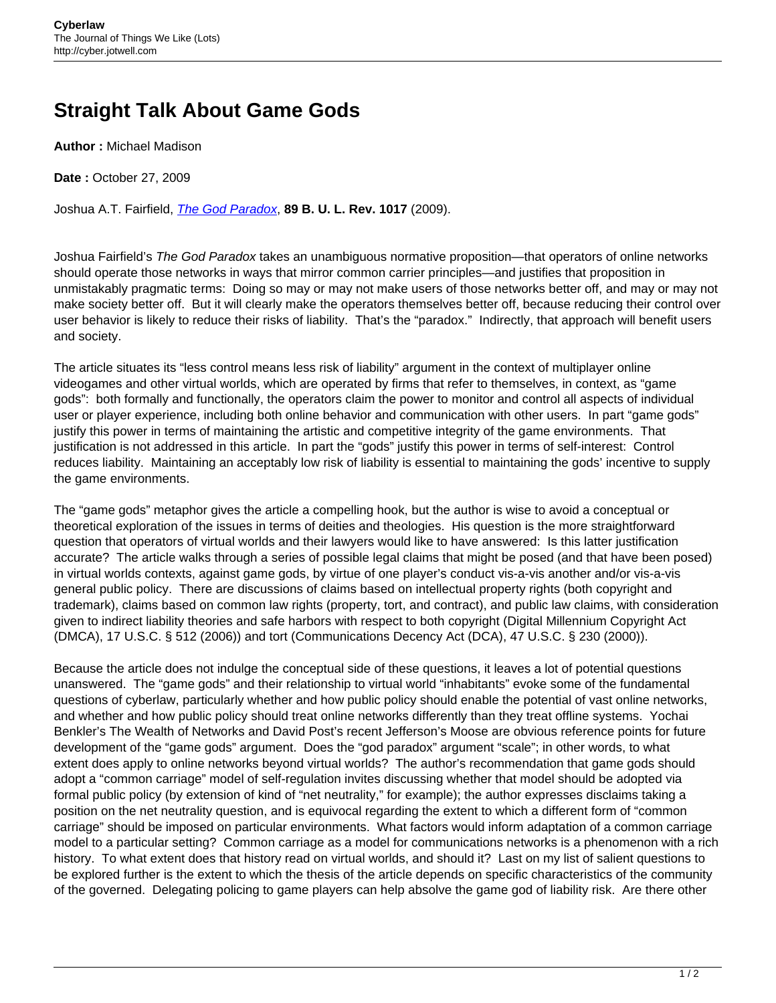## **Straight Talk About Game Gods**

**Author :** Michael Madison

**Date :** October 27, 2009

Joshua A.T. Fairfield, [The God Paradox](http://web.bu.edu/law/central/jd/organizations/journals/bulr/volume89n3/documents/FAIRFIELD.pdf), **89 B. U. L. Rev. 1017** (2009).

Joshua Fairfield's The God Paradox takes an unambiguous normative proposition—that operators of online networks should operate those networks in ways that mirror common carrier principles—and justifies that proposition in unmistakably pragmatic terms: Doing so may or may not make users of those networks better off, and may or may not make society better off. But it will clearly make the operators themselves better off, because reducing their control over user behavior is likely to reduce their risks of liability. That's the "paradox." Indirectly, that approach will benefit users and society.

The article situates its "less control means less risk of liability" argument in the context of multiplayer online videogames and other virtual worlds, which are operated by firms that refer to themselves, in context, as "game gods": both formally and functionally, the operators claim the power to monitor and control all aspects of individual user or player experience, including both online behavior and communication with other users. In part "game gods" justify this power in terms of maintaining the artistic and competitive integrity of the game environments. That justification is not addressed in this article. In part the "gods" justify this power in terms of self-interest: Control reduces liability. Maintaining an acceptably low risk of liability is essential to maintaining the gods' incentive to supply the game environments.

The "game gods" metaphor gives the article a compelling hook, but the author is wise to avoid a conceptual or theoretical exploration of the issues in terms of deities and theologies. His question is the more straightforward question that operators of virtual worlds and their lawyers would like to have answered: Is this latter justification accurate? The article walks through a series of possible legal claims that might be posed (and that have been posed) in virtual worlds contexts, against game gods, by virtue of one player's conduct vis-a-vis another and/or vis-a-vis general public policy. There are discussions of claims based on intellectual property rights (both copyright and trademark), claims based on common law rights (property, tort, and contract), and public law claims, with consideration given to indirect liability theories and safe harbors with respect to both copyright (Digital Millennium Copyright Act (DMCA), 17 U.S.C. § 512 (2006)) and tort (Communications Decency Act (DCA), 47 U.S.C. § 230 (2000)).

Because the article does not indulge the conceptual side of these questions, it leaves a lot of potential questions unanswered. The "game gods" and their relationship to virtual world "inhabitants" evoke some of the fundamental questions of cyberlaw, particularly whether and how public policy should enable the potential of vast online networks, and whether and how public policy should treat online networks differently than they treat offline systems. Yochai Benkler's The Wealth of Networks and David Post's recent Jefferson's Moose are obvious reference points for future development of the "game gods" argument. Does the "god paradox" argument "scale"; in other words, to what extent does apply to online networks beyond virtual worlds? The author's recommendation that game gods should adopt a "common carriage" model of self-regulation invites discussing whether that model should be adopted via formal public policy (by extension of kind of "net neutrality," for example); the author expresses disclaims taking a position on the net neutrality question, and is equivocal regarding the extent to which a different form of "common carriage" should be imposed on particular environments. What factors would inform adaptation of a common carriage model to a particular setting? Common carriage as a model for communications networks is a phenomenon with a rich history. To what extent does that history read on virtual worlds, and should it? Last on my list of salient questions to be explored further is the extent to which the thesis of the article depends on specific characteristics of the community of the governed. Delegating policing to game players can help absolve the game god of liability risk. Are there other